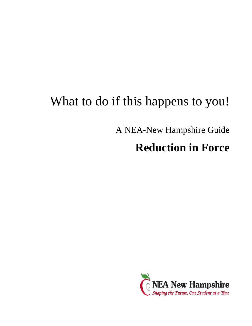# What to do if this happens to you!

A NEA-New Hampshire Guide

# **Reduction in Force**

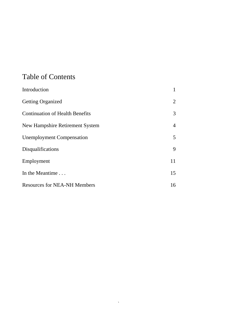# Table of Contents

| Introduction                           |                |
|----------------------------------------|----------------|
| <b>Getting Organized</b>               | $\overline{2}$ |
| <b>Continuation of Health Benefits</b> | 3              |
| New Hampshire Retirement System        | $\overline{4}$ |
| <b>Unemployment Compensation</b>       | 5              |
| Disqualifications                      | 9              |
| Employment                             | 11             |
| In the Meantime                        | 15             |
| <b>Resources for NEA-NH Members</b>    | 16             |

 $\mathcal{L}^{\text{max}}_{\text{max}}$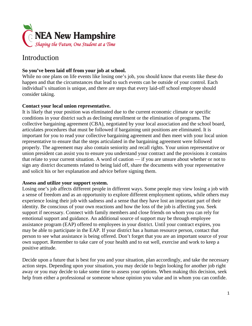

### Introduction

#### **So you've been laid off from your job at school.**

While no one plans on life events like losing one's job, you should know that events like these do happen and that the circumstances that lead to such events can be outside of your control. Each individual's situation is unique, and there are steps that every laid-off school employee should consider taking.

#### **Contact your local union representative.**

It is likely that your position was eliminated due to the current economic climate or specific conditions in your district such as declining enrollment or the elimination of programs. The collective bargaining agreement (CBA), negotiated by your local association and the school board, articulates procedures that must be followed if bargaining unit positions are eliminated. It is important for you to read your collective bargaining agreement and then meet with your local union representative to ensure that the steps articulated in the bargaining agreement were followed properly. The agreement may also contain seniority and recall rights. Your union representative or union president can assist you to ensure you understand your contract and the provisions it contains that relate to your current situation. A word of caution — if you are unsure about whether or not to sign any district documents related to being laid off, share the documents with your representative and solicit his or her explanation and advice before signing them.

#### **Assess and utilize your support system.**

Losing one's job affects different people in different ways. Some people may view losing a job with a sense of freedom and as an opportunity to explore different employment options, while others may experience losing their job with sadness and a sense that they have lost an important part of their identity. Be conscious of your own reactions and how the loss of the job is affecting you. Seek support if necessary. Connect with family members and close friends on whom you can rely for emotional support and guidance. An additional source of support may be through employee assistance program (EAP) offered to employees in your district. Until your contract expires, you may be able to participate in the EAP. If your district has a human resource person, contact that person to see what assistance is being offered. Don't forget that you are an important source of your own support. Remember to take care of your health and to eat well, exercise and work to keep a positive attitude.

Decide upon a future that is best for you and your situation, plan accordingly, and take the necessary action steps. Depending upon your situation, you may decide to begin looking for another job right away or you may decide to take some time to assess your options. When making this decision, seek help from either a professional or someone whose opinion you value and in whom you can confide.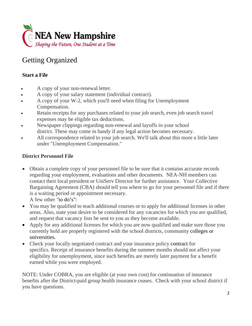

# Getting Organized

#### **Start a File**

- A copy of your non-renewal letter.
- A copy of your salary statement (individual contract).
- A copy of your W-2, which you'll need when filing for Unemployment Compensation.
- Retain receipts for any purchases related to your job search, even job search travel expenses may be eligible tax deductions.
- Newspaper clippings regarding non-renewal and layoffs in your school district. These may come in handy if any legal action becomes necessary.
- All correspondence related to your job search. We'll talk about this more a little later under "Unemployment Compensation."

#### **District Personnel File**

- Obtain a complete copy of your personnel file to be sure that it contains accurate records regarding your employment, evaluations and other documents. NEA-NH members can contact their local president or UniServ Director for further assistance. Your Collective Bargaining Agreement (CBA) should tell you where to go for your personnel file and if there is a waiting period or appointment necessary. A few other "to do's":
- You may be qualified to teach additional courses or to apply for additional licenses in other areas. Also, state your desire to be considered for any vacancies for which you are qualified, and request that vacancy lists be sent to you as they become available.
- Apply for any additional licenses for which you are now qualified and make sure those you currently hold are properly registered with the school districts, community colleges or universities.
- Check your locally negotiated contract and your insurance policy contract for specifics. Receipt of insurance benefits during the summer months should not affect your eligibility for unemployment, since such benefits are merely later payment for a benefit earned while you were employed.

NOTE: Under COBRA, you are eligible (at your own cost) for continuation of insurance benefits after the District-paid group health insurance ceases. Check with your school district if you have questions.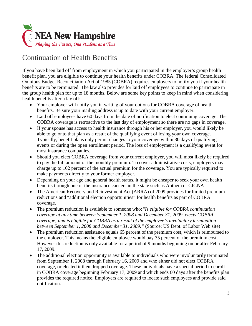

# Continuation of Health Benefits

If you have been laid off from employment in which you participated in the employer's group health benefit plan, you are eligible to continue your health benefits under COBRA. The federal Consolidated Omnibus Budget Reconciliation Act of 1985 (COBRA) requires employers to notify you if your health benefits are to be terminated. The law also provides for laid off employees to continue to participate in the group health plan for up to 18 months. Below are some key points to keep in mind when considering health benefits after a lay off:

- Your employer will notify you in writing of your options for COBRA coverage of health benefits. Be sure your mailing address is up to date with your current employer.
- Laid off employees have 60 days from the date of notification to elect continuing coverage. The COBRA coverage is retroactive to the last day of employment so there are no gaps in coverage.
- If your spouse has access to health insurance through his or her employer, you would likely be able to go onto that plan as a result of the qualifying event of losing your own coverage. Typically, benefit plans only permit changes to your coverage within 30 days of qualifying events or during the open enrollment period. The loss of employment is a qualifying event for most insurance companies.
- Should you elect COBRA coverage from your current employer, you will most likely be required to pay the full amount of the monthly premium. To cover administrative costs, employers may charge up to 102 percent of the actual premium for the coverage. You are typically required to make payments directly to your former employer.
- Depending on your age and general health status, it might be cheaper to seek your own health benefits through one of the insurance carriers in the state such as Anthem or CIGNA
- The American Recovery and Reinvestment Act (ARRA) of 2009 provides for limited premium reductions and "additional election opportunities" for health benefits as part of COBRA coverage.
- The premium reduction is available to someone who:*"Is eligible for COBRA continuation coverage at any time between September 1, 2008 and December 31, 2009, elects COBRA coverage; and is eligible for COBRA as a result of the employee's involuntary termination between September 1, 2008 and December 31, 2009."* (Source: US Dept. of Labor Web site)
- The premium reduction assistance equals 65 percent of the premium cost, which is reimbursed to the employer. This means the eligible employee would pay 35 percent of the premium cost. However this reduction is only available for a period of 9 months beginning on or after February 17, 2009.
- The additional election opportunity is available to individuals who were involuntarily terminated from September 1, 2008 through February 16, 2009 and who either did not elect COBRA coverage, or elected it then dropped coverage. These individuals have a special period to enroll in COBRA coverage beginning February 17, 2009 and which ends 60 days after the benefits plan provides the required notice. Employers are required to locate such employees and provide said notification.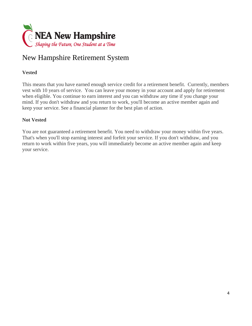

## New Hampshire Retirement System

#### **Vested**

This means that you have earned enough service credit for a retirement benefit. Currently, members vest with 10 years of service. You can leave your money in your account and apply for retirement when eligible. You continue to earn interest and you can withdraw any time if you change your mind. If you don't withdraw and you return to work, you'll become an active member again and keep your service. See a financial planner for the best plan of action.

#### **Not Vested**

You are not guaranteed a retirement benefit. You need to withdraw your money within five years. That's when you'll stop earning interest and forfeit your service. If you don't withdraw, and you return to work within five years, you will immediately become an active member again and keep your service.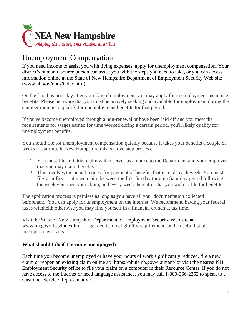

# Unemployment Compensation

If you need income to assist you with living expenses, apply for unemployment compensation. Your district's human resource person can assist you with the steps you need to take, or you can access information online at the State of New Hampshire Department of Employment Security Web site (www.nh.gov/nhes/index.htm).

On the first business day after your day of employment you may apply for unemployment insurance benefits. Please be aware that you must be actively seeking and available for employment during the summer months to qualify for unemployment benefits for that period.

If you've become unemployed through a non-renewal or have been laid off and you meet the requirements for wages earned for time worked during a certain period, you'll likely qualify for unemployment benefits.

You should file for unemployment compensation quickly because it takes your benefits a couple of weeks to start up. In New Hampshire this is a two step process.

- 1. You must file an initial claim which serves as a notice to the Department and your employer that you may claim benefits.
- 2. This involves the actual request for payment of benefits that is made each week. You must file your first continued claim between the first Sunday through Saturday period following the week you open your claim, and every week thereafter that you wish to file for benefits.

The application process is painless as long as you have all your documentation collected beforehand. You can apply for unemployment on the internet. We recommend having your federal taxes withheld; otherwise you may find yourself in a financial crunch at tax time.

Visit the State of New Hampshire Department of Employment Security Web site at www.nh.gov/nhes/index.htm to get details on eligibility requirements and a useful list of unemployment facts.

#### **What should I do if I become unemployed?**

Each time you become unemployed or have your hours of work significantly reduced, file a new claim or reopen an existing claim online at: https://nhuis.nh.gov/claimant/ or visit the nearest NH Employment Security office to file your claim on a computer in their Resource Center. If you do not have access to the Internet or need language assistance, you may call 1-800-266-2252 to speak to a Customer Service Representative .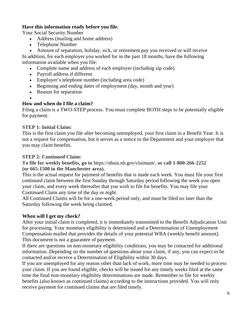#### **Have this information ready before you file.**

Your Social Security Number

- Address (mailing and home address)
- Telephone Number
- Amount of separation, holiday, sick, or retirement pay you received or will receive

In addition, for each employer you worked for in the past 18 months, have the following information available when you file:

- Complete name and address of each employer (including zip code)
- Payroll address if different
- Employer's telephone number (including area code)
- Beginning and ending dates of employment (day, month and year)
- Reason for separation

#### $\bullet$ **How and when do I file a claim?**

Filing a claim is a TWO-STEP process. You must complete BOTH steps to be potentially eligible for payment.

#### **STEP 1: Initial Claim:**

This is the first claim you file after becoming unemployed, your first claim in a Benefit Year. It is not a request for compensation, but it serves as a notice to the Department and your employer that you may claim benefits.

#### **STEP 2: Continued Claim:**

**To file for weekly benefits, go to** https://nhuis.nh.gov/claimant/, **or call 1-800-266-2252 (or 665-1500 in the Manchester area).**

This is the actual request for payment of benefits that is made each week. You must file your first continued claim between the first Sunday through Saturday period following the week you open your claim, and every week thereafter that you wish to file for benefits. You may file your Continued Claim any time of the day or night.

All Continued Claims will be for a one-week period only, and must be filed no later than the Saturday following the week being claimed.

#### **When will I get my check?**

After your initial claim is completed, it is immediately transmitted to the Benefit Adjudication Unit for processing. Your monetary eligibility is determined and a Determination of Unemployment Compensation mailed that provides the details of your potential WBA (weekly benefit amount). This document is not a guarantee of payment.

If there are questions on non-monetary eligibility conditions, you may be contacted for additional information. Depending on the number of questions about your claim, if any, you can expect to be contacted and/or receive a Determination of Eligibility within 30 days.

If you are unemployed for any reason other than lack of work, more time may be needed to process your claim. If you are found eligible, checks will be issued for any timely weeks filed at the same time the final non-monetary eligibility determinations are made. Remember to file for weekly benefits (also known as continued claims) according to the instructions provided. You will only receive payment for continued claims that are filed timely.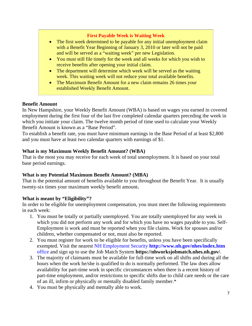#### **First Payable Week is Waiting Week**

- The first week determined to be payable for any initial unemployment claim with a Benefit Year Beginning of January 3, 2010 or later will not be paid and will be served as a "waiting week" per new Legislation.
- You must still file timely for the week and all weeks for which you wish to receive benefits after opening your initial claim.
- The department will determine which week will be served as the waiting week. This waiting week will not reduce your total available benefits.
- The Maximum Benefit Amount for a new claim remains 26 times your established Weekly Benefit Amount.

#### **Benefit Amount**

In New Hampshire, your Weekly Benefit Amount (WBA) is based on wages you earned in covered employment during the first four of the last five completed calendar quarters preceding the week in which you initiate your claim. The twelve month period of time used to calculate your Weekly Benefit Amount is known as a "Base Period".

To establish a benefit rate, you must have minimum earnings in the Base Period of at least \$2,800 and you must have at least two calendar quarters with earnings of \$1.

#### **What is my Maximum Weekly Benefit Amount? (WBA)**

That is the most you may receive for each week of total unemployment. It is based on your total base period earnings.

#### **What is my Potential Maximum Benefit Amount? (MBA)**

That is the potential amount of benefits available to you throughout the Benefit Year. It is usually twenty-six times your maximum weekly benefit amount**.** 

#### **What is meant by "Eligibility"?**

In order to be eligible for unemployment compensation, you must meet the following requirements in each week:

- 1. You must be totally or partially unemployed. You are totally unemployed for any week in which you did not perform any work and for which you have no wages payable to you. Self-Employment is work and must be reported when you file claims. Work for spouses and/or children, whether compensated or not, must also be reported.
- 2. You must register for work to be eligible for benefits, unless you have been specifically exempted. Visit the nearest NH Employment Security **http://www.nh.gov/nhes/index.htm**  office and sign up to use the Job Match System **https://nhworksjobmatch.nhes.nh.gov/**.
- 3. The majority of claimants must be available for full-time work on all shifts and during all the hours when the work he/she is qualified to do is normally performed. The law does allow availability for part-time work in specific circumstances when there is a recent history of part-time employment, and/or restrictions to specific shifts due to child care needs or the care of an ill, infirm or physically or mentally disabled family member.\*
- 4. You must be physically and mentally able to work.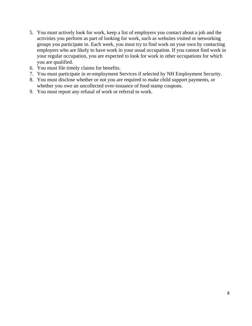- 5. You must actively look for work, keep a list of employers you contact about a job and the activities you perform as part of looking for work, such as websites visited or networking groups you participate in. Each week, you must try to find work on your own by contacting employers who are likely to have work in your usual occupation. If you cannot find work in your regular occupation, you are expected to look for work in other occupations for which you are qualified.
- 6. You must file timely claims for benefits.
- 7. You must participate in re-employment Services if selected by NH Employment Security.
- 8. You must disclose whether or not you are required to make child support payments, or whether you owe an uncollected over-issuance of food stamp coupons.
- 9. You must report any refusal of work or referral to work.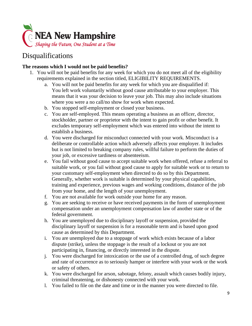

### Disqualifications

#### **The reasons which I would not be paid benefits?**

- 1. You will not be paid benefits for any week for which you do not meet all of the eligibility requirements explained in the section titled, ELIGIBILITY REQUIREMENTS.
	- a. You will not be paid benefits for any week for which you are disqualified if: You left work voluntarily without good cause attributable to your employer. This means that it was your decision to leave your job. This may also include situations where you were a no call/no show for work when expected.
	- b. You stopped self-employment or closed your business.
	- c. You are self-employed. This means operating a business as an officer, director, stockholder, partner or proprietor with the intent to gain profit or other benefit. It excludes temporary self-employment which was entered into without the intent to establish a business.
	- d. You were discharged for misconduct connected with your work. Misconduct is a deliberate or controllable action which adversely affects your employer. It includes but is not limited to breaking company rules, willful failure to perform the duties of your job, or excessive tardiness or absenteeism.
	- e. You fail without good cause to accept suitable work when offered, refuse a referral to suitable work, or you fail without good cause to apply for suitable work or to return to your customary self-employment when directed to do so by this Department. Generally, whether work is suitable is determined by your physical capabilities, training and experience, previous wages and working conditions, distance of the job from your home, and the length of your unemployment.
	- f. You are not available for work outside your home for any reason.
	- g. You are seeking to receive or have received payments in the form of unemployment compensation under an unemployment compensation law of another state or of the federal government.
	- h. You are unemployed due to disciplinary layoff or suspension, provided the disciplinary layoff or suspension is for a reasonable term and is based upon good cause as determined by this Department.
	- i. You are unemployed due to a stoppage of work which exists because of a labor dispute (strike), unless the stoppage is the result of a lockout or you are not participating in, financing, or directly interested in the dispute.
	- j. You were discharged for intoxication or the use of a controlled drug, of such degree and rate of occurrence as to seriously hamper or interfere with your work or the work or safety of others.
	- k. You were discharged for arson, sabotage, felony, assault which causes bodily injury, criminal threatening, or dishonesty connected with your work.
	- l. You failed to file on the date and time or in the manner you were directed to file.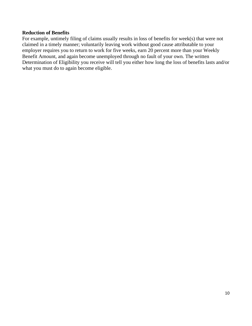#### **Reduction of Benefits**

For example, untimely filing of claims usually results in loss of benefits for week(s) that were not claimed in a timely manner; voluntarily leaving work without good cause attributable to your employer requires you to return to work for five weeks, earn 20 percent more than your Weekly Benefit Amount, and again become unemployed through no fault of your own. The written Determination of Eligibility you receive will tell you either how long the loss of benefits lasts and/or what you must do to again become eligible.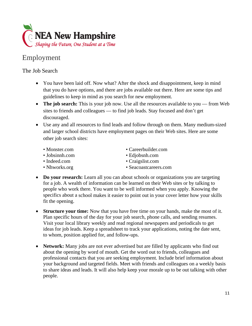

## Employment

The Job Search

- You have been laid off. Now what? After the shock and disappointment, keep in mind that you do have options, and there are jobs available out there. Here are some tips and guidelines to keep in mind as you search for new employment.
- The job search: This is your job now. Use all the resources available to you from Web sites to friends and colleagues — to find job leads. Stay focused and don't get discouraged.
- Use any and all resources to find leads and follow through on them. Many medium-sized and larger school districts have employment pages on their Web sites. Here are some other job search sites:
	-
	-
	-
	-
	- Monster.com Careerbuilder.com
	- Jobsinnh.com Edjobsnh.com
	- Indeed.com Craigslist.com
	- Nhworks.org Seacoastcareers.com
- **Do your research:** Learn all you can about schools or organizations you are targeting for a job. A wealth of information can be learned on their Web sites or by talking to people who work there. You want to be well informed when you apply. Knowing the specifics about a school makes it easier to point out in your cover letter how your skills fit the opening.
- **Structure your time:** Now that you have free time on your hands, make the most of it. Plan specific hours of the day for your job search, phone calls, and sending resumes. Visit your local library weekly and read regional newspapers and periodicals to get ideas for job leads. Keep a spreadsheet to track your applications, noting the date sent, to whom, position applied for, and follow-ups.
- **Network:** Many jobs are not ever advertised but are filled by applicants who find out about the opening by word of mouth. Get the word out to friends, colleagues and professional contacts that you are seeking employment. Include brief information about your background and targeted fields. Meet with friends and colleagues on a weekly basis to share ideas and leads. It will also help keep your morale up to be out talking with other people.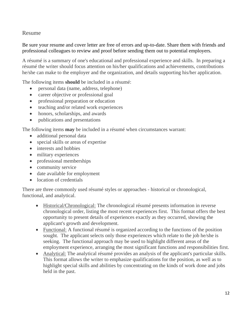#### Resume

Be sure your resume and cover letter are free of errors and up-to-date. Share them with friends and professional colleagues to review and proof before sending them out to potential employers.

A résumé is a summary of one's educational and professional experience and skills. In preparing a résumé the writer should focus attention on his/her qualifications and achievements, contributions he/she can make to the employer and the organization, and details supporting his/her application.

The following items **should** be included in a résumé:

- personal data (name, address, telephone)
- career objective or professional goal
- professional preparation or education
- teaching and/or related work experiences
- honors, scholarships, and awards
- publications and presentations

The following items **may** be included in a résumé when circumstances warrant:

- additional personal data
- special skills or areas of expertise
- interests and hobbies
- military experiences
- professional memberships
- community service
- date available for employment
- location of credentials

There are three commonly used résumé styles or approaches - historical or chronological, functional, and analytical.

- Historical/Chronological: The chronological résumé presents information in reverse chronological order, listing the most recent experiences first. This format offers the best opportunity to present details of experiences exactly as they occurred, showing the applicant's growth and development.
- Functional: A functional résumé is organized according to the functions of the position sought. The applicant selects only those experiences which relate to the job he/she is seeking. The functional approach may be used to highlight different areas of the employment experience, arranging the most significant functions and responsibilities first.
- Analytical: The analytical résumé provides an analysis of the applicant's particular skills. This format allows the writer to emphasize qualifications for the position, as well as to highlight special skills and abilities by concentrating on the kinds of work done and jobs held in the past.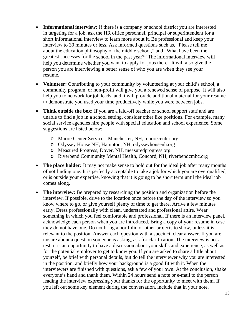- **Informational interview:** If there is a company or school district you are interested in targeting for a job, ask the HR office personnel, principal or superintendent for a short informational interview to learn more about it. Be professional and keep your interview to 30 minutes or less. Ask informed questions such as, "Please tell me about the education philosophy of the middle school," and "What have been the greatest successes for the school in the past year?" The informational interview will help you determine whether you want to apply for jobs there. It will also give the person you are interviewing a better sense of who you are when they see your resume.
- **Volunteer:** Contributing to your community by volunteering at your child's school, a community program, or non-profit will give you a renewed sense of purpose. It will also help you to network for job leads, and it will provide additional material for your resume to demonstrate you used your time productively while you were between jobs.
- **Think outside the box:** If you are a laid-off teacher or school support staff and are unable to find a job in a school setting, consider other like positions. For example, many social service agencies hire people with special education and school experience. Some suggestions are listed below:
	- o Moore Center Services, Manchester, NH, moorecenter.org
	- o Odyssey House NH, Hampton, NH, odysseyhousenh.org
	- o Measured Progress, Dover, NH, measuredprogress.org
	- o Riverbend Community Mental Health, Concord, NH, riverbendcmhc.org
- The place holder: It may not make sense to hold out for the ideal job after many months of not finding one. It is perfectly acceptable to take a job for which you are overqualified, or is outside your expertise, knowing that it is going to be short term until the ideal job comes along.
- **The interview:** Be prepared by researching the position and organization before the interview. If possible, drive to the location once before the day of the interview so you know where to go, or give yourself plenty of time to get there. Arrive a few minutes early. Dress professionally with clean, understated and professional attire. Wear something in which you feel comfortable and professional. If there is an interview panel, acknowledge each person when you are introduced. Bring a copy of your resume in case they do not have one. Do not bring a portfolio or other projects to show, unless it is relevant to the position. Answer each question with a succinct, clear answer. If you are unsure about a question someone is asking, ask for clarification. The interview is not a test; it is an opportunity to have a discussion about your skills and experience, as well as for the potential employer to get to know you. If you are asked to share a little about yourself, be brief with personal details, but do tell the interviewer why you are interested in the position, and briefly how your background is a good fit with it. When the interviewers are finished with questions, ask a few of your own. At the conclusion, shake everyone's hand and thank them. Within 24 hours send a note or e-mail to the person leading the interview expressing your thanks for the opportunity to meet with them. If you left out some key element during the conversation, include that in your note.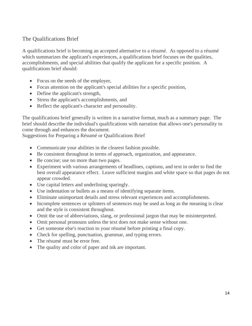#### The Qualifications Brief

A qualifications brief is becoming an accepted alternative to a résumé. As opposed to a résumé which summarizes the applicant's experiences, a qualifications brief focuses on the qualities, accomplishments, and special abilities that qualify the applicant for a specific position. A qualifications brief should:

- Focus on the needs of the employer,
- Focus attention on the applicant's special abilities for a specific position,
- Define the applicant's strength,
- Stress the applicant's accomplishments, and
- Reflect the applicant's character and personality.

The qualifications brief generally is written in a narrative format, much as a summary page. The brief should describe the individual's qualifications with narration that allows one's personality to come through and enhances the document.

Suggestions for Preparing a Résumé or Qualifications Brief

- Communicate your abilities in the clearest fashion possible.
- Be consistent throughout in terms of approach, organization, and appearance.
- Be concise; use no more than two pages.
- Experiment with various arrangements of headlines, captions, and text in order to find the best overall appearance effect. Leave sufficient margins and white space so that pages do not appear crowded.
- Use capital letters and underlining sparingly.
- Use indentation or bullets as a means of identifying separate items.
- Eliminate unimportant details and stress relevant experiences and accomplishments.
- Incomplete sentences or splinters of sentences may be used as long as the meaning is clear and the style is consistent throughout.
- Omit the use of abbreviations, slang, or professional jargon that may be misinterpreted.
- Omit personal pronouns unless the text does not make sense without one.
- Get someone else's reaction to your résumé before printing a final copy.
- Check for spelling, punctuation, grammar, and typing errors.
- The résumé must be error free.
- The quality and color of paper and ink are important.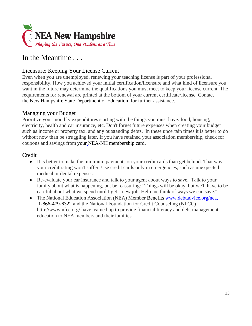

### In the Meantime . . .

#### Licensure: Keeping Your License Current

Even when you are unemployed, renewing your teaching license is part of your professional responsibility. How you achieved your initial certification/licensure and what kind of licensure you want in the future may determine the qualifications you must meet to keep your license current. The requirements for renewal are printed at the bottom of your current certificate/license. Contact the New Hampshire State Department of Education for further assistance.

#### Managing your Budget

Prioritize your monthly expenditures starting with the things you must have: food, housing, electricity, health and car insurance, etc. Don't forget future expenses when creating your budget such as income or property tax, and any outstanding debts. In these uncertain times it is better to do without now than be struggling later. If you have retained your association membership, check for coupons and savings from your NEA-NH membership card.

#### Credit

- It is better to make the minimum payments on your credit cards than get behind. That way your credit rating won't suffer. Use credit cards only in emergencies, such as unexpected medical or dental expenses.
- Re-evaluate your car insurance and talk to your agent about ways to save. Talk to your family about what is happening, but be reassuring: "Things will be okay, but we'll have to be careful about what we spend until I get a new job. Help me think of ways we can save."
- The National Education Association (NEA) Member Benefits www.debtadvice.org/nea, 1-866-479-6322 and the National Foundation for Credit Counseling (NFCC) http://www.nfcc.org/ have teamed up to provide financial literacy and debt management education to NEA members and their families.